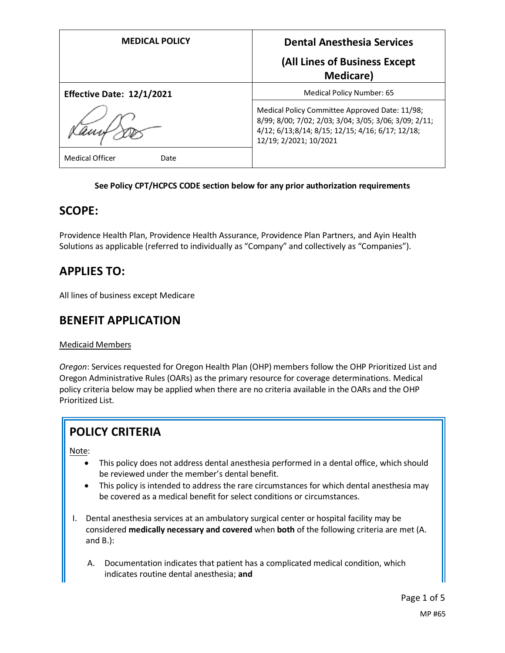| <b>MEDICAL POLICY</b>          | <b>Dental Anesthesia Services</b>                                                                                                                                                      |
|--------------------------------|----------------------------------------------------------------------------------------------------------------------------------------------------------------------------------------|
|                                | (All Lines of Business Except<br><b>Medicare</b> )                                                                                                                                     |
| Effective Date: 12/1/2021      | Medical Policy Number: 65                                                                                                                                                              |
|                                | Medical Policy Committee Approved Date: 11/98;<br>8/99; 8/00; 7/02; 2/03; 3/04; 3/05; 3/06; 3/09; 2/11;<br>4/12; 6/13; 8/14; 8/15; 12/15; 4/16; 6/17; 12/18;<br>12/19; 2/2021; 10/2021 |
| <b>Medical Officer</b><br>Date |                                                                                                                                                                                        |

### **See Policy CPT/HCPCS CODE section below for any prior authorization requirements**

## **SCOPE:**

Providence Health Plan, Providence Health Assurance, Providence Plan Partners, and Ayin Health Solutions as applicable (referred to individually as "Company" and collectively as "Companies").

# **APPLIES TO:**

All lines of business except Medicare

## **BENEFIT APPLICATION**

### Medicaid Members

*Oregon*: Services requested for Oregon Health Plan (OHP) members follow the OHP Prioritized List and Oregon Administrative Rules (OARs) as the primary resource for coverage determinations. Medical policy criteria below may be applied when there are no criteria available in the OARs and the OHP Prioritized List.

# **POLICY CRITERIA**

Note:

- This policy does not address dental anesthesia performed in a dental office, which should be reviewed under the member's dental benefit.
- This policy is intended to address the rare circumstances for which dental anesthesia may be covered as a medical benefit for select conditions or circumstances.
- I. Dental anesthesia services at an ambulatory surgical center or hospital facility may be considered **medically necessary and covered** when **both** of the following criteria are met (A. and B.):
	- A. Documentation indicates that patient has a complicated medical condition, which indicates routine dental anesthesia; **and**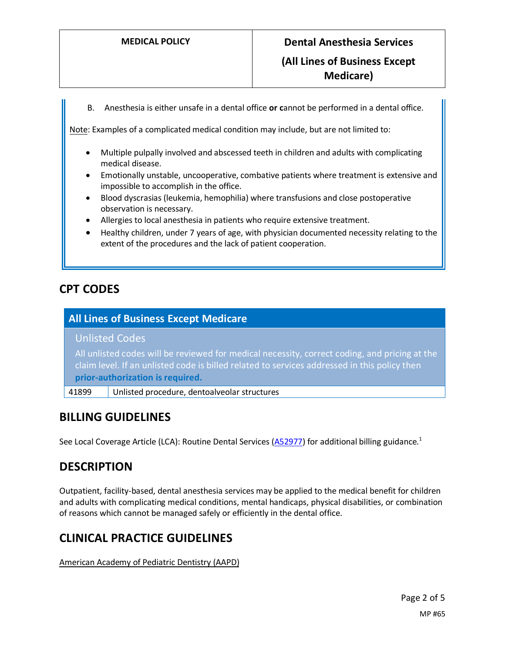B. Anesthesia is either unsafe in a dental office **or c**annot be performed in a dental office.

Note: Examples of a complicated medical condition may include, but are not limited to:

- Multiple pulpally involved and abscessed teeth in children and adults with complicating medical disease.
- Emotionally unstable, uncooperative, combative patients where treatment is extensive and impossible to accomplish in the office.
- Blood dyscrasias (leukemia, hemophilia) where transfusions and close postoperative observation is necessary.
- Allergies to local anesthesia in patients who require extensive treatment.
- Healthy children, under 7 years of age, with physician documented necessity relating to the extent of the procedures and the lack of patient cooperation.

## **CPT CODES**

## **All Lines of Business Except Medicare**

### Unlisted Codes

All unlisted codes will be reviewed for medical necessity, correct coding, and pricing at the claim level. If an unlisted code is billed related to services addressed in this policy then **prior-authorization is required.**

41899 Unlisted procedure, dentoalveolar structures

## **BILLING GUIDELINES**

See Local Coverage Article (LCA): Routine Dental Services [\(A52977\)](https://www.cms.gov/medicare-coverage-database/details/article-details.aspx?articleId=52977) for additional billing guidance.<sup>1</sup>

## **DESCRIPTION**

Outpatient, facility-based, dental anesthesia services may be applied to the medical benefit for children and adults with complicating medical conditions, mental handicaps, physical disabilities, or combination of reasons which cannot be managed safely or efficiently in the dental office.

## **CLINICAL PRACTICE GUIDELINES**

American Academy of Pediatric Dentistry (AAPD)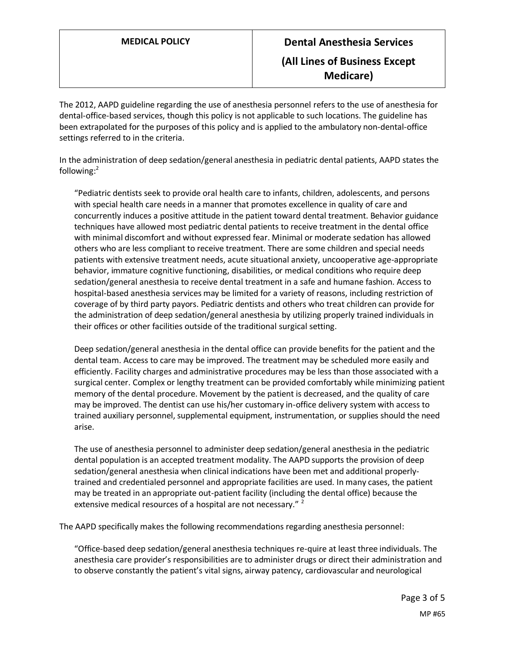The 2012, AAPD guideline regarding the use of anesthesia personnel refers to the use of anesthesia for dental-office-based services, though this policy is not applicable to such locations. The guideline has been extrapolated for the purposes of this policy and is applied to the ambulatory non-dental-office settings referred to in the criteria.

In the administration of deep sedation/general anesthesia in pediatric dental patients, AAPD states the following:<sup>2</sup>

"Pediatric dentists seek to provide oral health care to infants, children, adolescents, and persons with special health care needs in a manner that promotes excellence in quality of care and concurrently induces a positive attitude in the patient toward dental treatment. Behavior guidance techniques have allowed most pediatric dental patients to receive treatment in the dental office with minimal discomfort and without expressed fear. Minimal or moderate sedation has allowed others who are less compliant to receive treatment. There are some children and special needs patients with extensive treatment needs, acute situational anxiety, uncooperative age-appropriate behavior, immature cognitive functioning, disabilities, or medical conditions who require deep sedation/general anesthesia to receive dental treatment in a safe and humane fashion. Access to hospital-based anesthesia services may be limited for a variety of reasons, including restriction of coverage of by third party payors. Pediatric dentists and others who treat children can provide for the administration of deep sedation/general anesthesia by utilizing properly trained individuals in their offices or other facilities outside of the traditional surgical setting.

Deep sedation/general anesthesia in the dental office can provide benefits for the patient and the dental team. Access to care may be improved. The treatment may be scheduled more easily and efficiently. Facility charges and administrative procedures may be less than those associated with a surgical center. Complex or lengthy treatment can be provided comfortably while minimizing patient memory of the dental procedure. Movement by the patient is decreased, and the quality of care may be improved. The dentist can use his/her customary in-office delivery system with access to trained auxiliary personnel, supplemental equipment, instrumentation, or supplies should the need arise.

The use of anesthesia personnel to administer deep sedation/general anesthesia in the pediatric dental population is an accepted treatment modality. The AAPD supports the provision of deep sedation/general anesthesia when clinical indications have been met and additional properlytrained and credentialed personnel and appropriate facilities are used. In many cases, the patient may be treated in an appropriate out-patient facility (including the dental office) because the extensive medical resources of a hospital are not necessary."<sup>2</sup>

The AAPD specifically makes the following recommendations regarding anesthesia personnel:

"Office-based deep sedation/general anesthesia techniques re-quire at least three individuals. The anesthesia care provider's responsibilities are to administer drugs or direct their administration and to observe constantly the patient's vital signs, airway patency, cardiovascular and neurological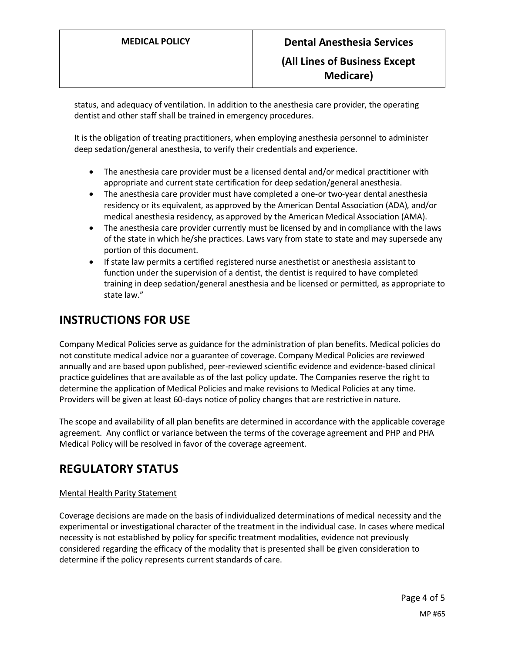status, and adequacy of ventilation. In addition to the anesthesia care provider, the operating dentist and other staff shall be trained in emergency procedures.

It is the obligation of treating practitioners, when employing anesthesia personnel to administer deep sedation/general anesthesia, to verify their credentials and experience.

- The anesthesia care provider must be a licensed dental and/or medical practitioner with appropriate and current state certification for deep sedation/general anesthesia.
- The anesthesia care provider must have completed a one-or two-year dental anesthesia residency or its equivalent, as approved by the American Dental Association (ADA), and/or medical anesthesia residency, as approved by the American Medical Association (AMA).
- The anesthesia care provider currently must be licensed by and in compliance with the laws of the state in which he/she practices. Laws vary from state to state and may supersede any portion of this document.
- If state law permits a certified registered nurse anesthetist or anesthesia assistant to function under the supervision of a dentist, the dentist is required to have completed training in deep sedation/general anesthesia and be licensed or permitted, as appropriate to state law."

## **INSTRUCTIONS FOR USE**

Company Medical Policies serve as guidance for the administration of plan benefits. Medical policies do not constitute medical advice nor a guarantee of coverage. Company Medical Policies are reviewed annually and are based upon published, peer-reviewed scientific evidence and evidence-based clinical practice guidelines that are available as of the last policy update. The Companies reserve the right to determine the application of Medical Policies and make revisions to Medical Policies at any time. Providers will be given at least 60-days notice of policy changes that are restrictive in nature.

The scope and availability of all plan benefits are determined in accordance with the applicable coverage agreement. Any conflict or variance between the terms of the coverage agreement and PHP and PHA Medical Policy will be resolved in favor of the coverage agreement.

## **REGULATORY STATUS**

### Mental Health Parity Statement

Coverage decisions are made on the basis of individualized determinations of medical necessity and the experimental or investigational character of the treatment in the individual case. In cases where medical necessity is not established by policy for specific treatment modalities, evidence not previously considered regarding the efficacy of the modality that is presented shall be given consideration to determine if the policy represents current standards of care.